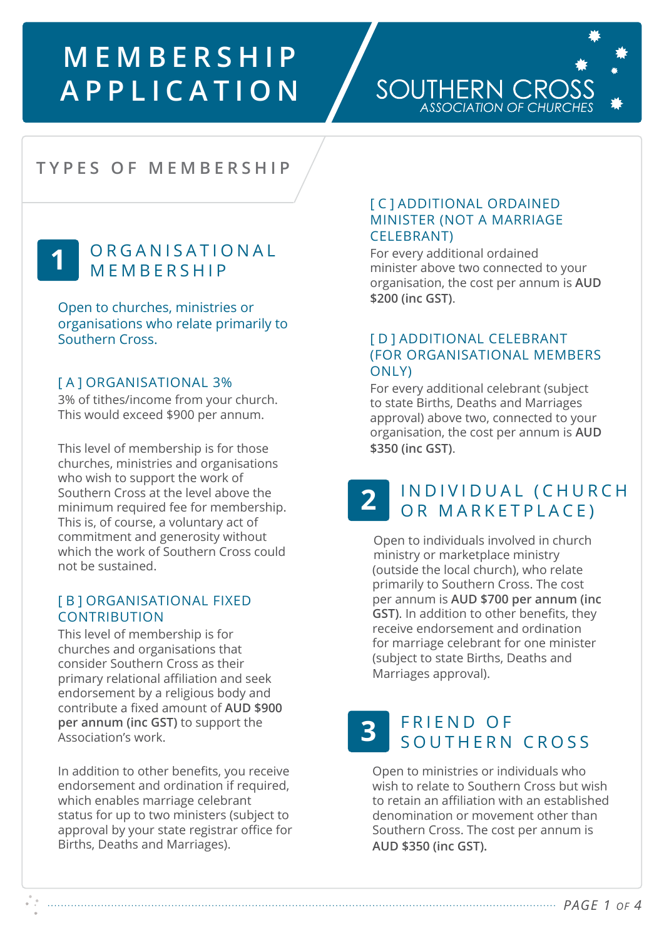# **MEMBERSHIP APPLICATION**

### SOUTHERN CROS ASSOCIATION OF CHURCHE

# **TYPES OF MEMBERSHIP**

## **1** O R G A N I S A T I O N A L **MEMBERSHIP**

Open to churches, ministries or organisations who relate primarily to Southern Cross.

### [A] ORGANISATIONAL 3%

3% of tithes/income from your church. This would exceed \$900 per annum.

This level of membership is for those churches, ministries and organisations who wish to support the work of Southern Cross at the level above the minimum required fee for membership. This is, of course, a voluntary act of commitment and generosity without which the work of Southern Cross could not be sustained.

#### [ B ] ORGANISATIONAL FIXED **CONTRIBUTION**

This level of membership is for churches and organisations that consider Southern Cross as their primary relational affiliation and seek endorsement by a religious body and contribute a fixed amount of **AUD \$900 per annum (inc GST)** to support the Association's work.

In addition to other benefits, you receive endorsement and ordination if required, which enables marriage celebrant status for up to two ministers (subject to approval by your state registrar office for Births, Deaths and Marriages).

#### [ C ] ADDITIONAL ORDAINED MINISTER (NOT A MARRIAGE CELEBRANT)

For every additional ordained minister above two connected to your organisation, the cost per annum is **AUD \$200 (inc GST)**.

### [ D ] ADDITIONAL CELEBRANT (FOR ORGANISATIONAL MEMBERS ONLY)

For every additional celebrant (subject to state Births, Deaths and Marriages approval) above two, connected to your organisation, the cost per annum is **AUD \$350 (inc GST)**.

# **2** INDIVIDUAL (CHURCH OR MARKETPLACE)

Open to individuals involved in church ministry or marketplace ministry (outside the local church), who relate primarily to Southern Cross. The cost per annum is **AUD \$700 per annum (inc GST)**. In addition to other benefits, they receive endorsement and ordination for marriage celebrant for one minister (subject to state Births, Deaths and Marriages approval).

# **3** FRIEND OF SOUTHERN CROSS

Open to ministries or individuals who wish to relate to Southern Cross but wish to retain an affiliation with an established denomination or movement other than Southern Cross. The cost per annum is **AUD \$350 (inc GST).**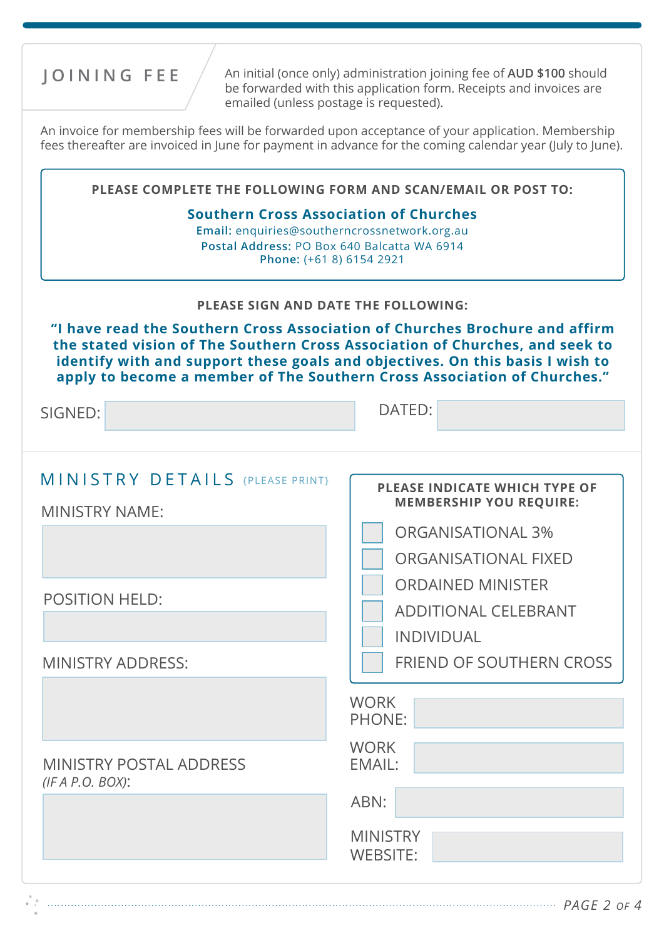**JOINING FEE** An initial (once only) administration joining fee of AUD \$100 should be forwarded with this application form. Receipts and invoices are emailed (unless postage is requested).

An invoice for membership fees will be forwarded upon acceptance of your application. Membership fees thereafter are invoiced in June for payment in advance for the coming calendar year (July to June).

| "I have read the Southern Cross Association of Churches Brochure and affirm<br>the stated vision of The Southern Cross Association of Churches, and seek to<br>identify with and support these goals and objectives. On this basis I wish to<br>apply to become a member of The Southern Cross Association of Churches." |  |  |
|--------------------------------------------------------------------------------------------------------------------------------------------------------------------------------------------------------------------------------------------------------------------------------------------------------------------------|--|--|
| DATED:                                                                                                                                                                                                                                                                                                                   |  |  |
| PLEASE INDICATE WHICH TYPE OF<br><b>MEMBERSHIP YOU REQUIRE:</b><br><b>ORGANISATIONAL 3%</b><br><b>ORGANISATIONAL FIXED</b><br><b>ORDAINED MINISTER</b>                                                                                                                                                                   |  |  |
| <b>ADDITIONAL CELEBRANT</b><br><b>INDIVIDUAL</b>                                                                                                                                                                                                                                                                         |  |  |
| <b>FRIEND OF SOUTHERN CROSS</b><br><b>WORK</b><br><b>PHONE:</b>                                                                                                                                                                                                                                                          |  |  |
| <b>WORK</b><br>EMAIL:<br>ABN:<br><b>MINISTRY</b>                                                                                                                                                                                                                                                                         |  |  |
|                                                                                                                                                                                                                                                                                                                          |  |  |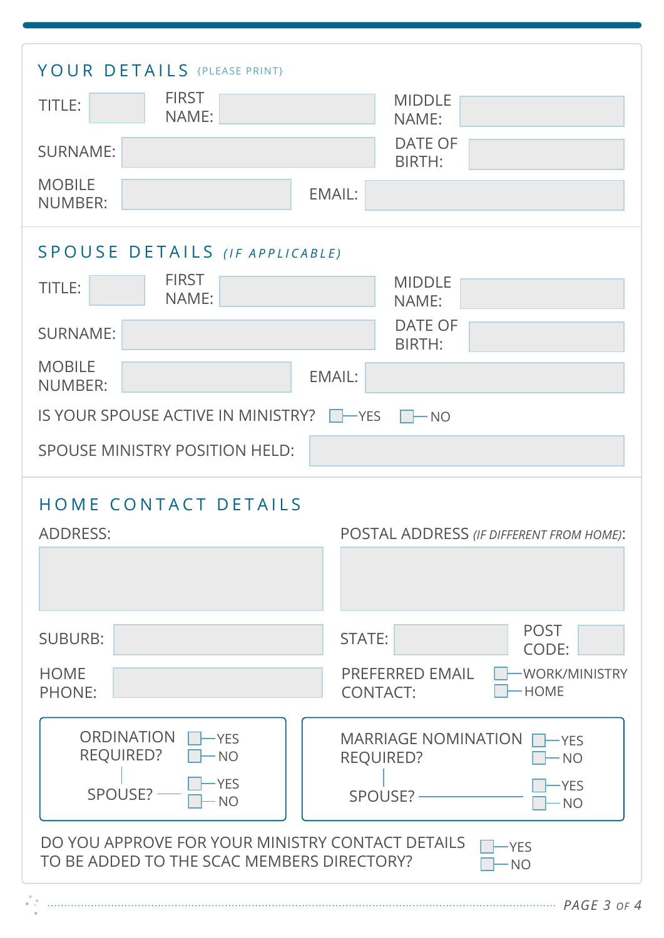| YOUR DETAILS {PLEASE PRINT}<br><b>FIRST</b><br>TITLE:<br>NAME:<br><b>SURNAME:</b><br><b>MOBILE</b><br><b>NUMBER:</b>                                                                                                                                                                                        | <b>MIDDLE</b><br>NAME:<br><b>DATE OF</b><br>BIRTH:<br><b>EMAIL:</b>                                                                                                |
|-------------------------------------------------------------------------------------------------------------------------------------------------------------------------------------------------------------------------------------------------------------------------------------------------------------|--------------------------------------------------------------------------------------------------------------------------------------------------------------------|
| SPOUSE DETAILS (IF APPLICABLE)<br><b>FIRST</b><br><b>MIDDLE</b><br>TITLE:<br>NAME:<br>NAME:<br><b>DATE OF</b><br><b>SURNAME:</b><br>BIRTH:<br><b>MOBILE</b><br><b>EMAIL:</b><br><b>NUMBER:</b><br>IS YOUR SPOUSE ACTIVE IN MINISTRY?<br>$\vert$ $\vert$ $\vert$ NO<br><b>SPOUSE MINISTRY POSITION HELD:</b> |                                                                                                                                                                    |
| HOME CONTACT DETAILS<br><b>ADDRESS:</b><br><b>SUBURB:</b>                                                                                                                                                                                                                                                   | POSTAL ADDRESS (IF DIFFERENT FROM HOME):<br><b>POST</b><br><b>STATE:</b><br>CODE:                                                                                  |
| <b>HOME</b><br><b>PHONE:</b><br><b>ORDINATION</b><br>-YES<br><b>REQUIRED?</b><br>$\cdot$ NO<br><b>YES</b><br>SPOUSE?<br><b>NO</b>                                                                                                                                                                           | <b>PREFERRED EMAIL</b><br>-WORK/MINISTRY<br>- HOME<br><b>CONTACT:</b><br><b>MARRIAGE NOMINATION</b><br>-YES<br><b>REQUIRED?</b><br>· NO<br>-YES<br>SPOUSE?<br>· NO |
| DO YOU APPROVE FOR YOUR MINISTRY CONTACT DETAILS<br>-YES<br>TO BE ADDED TO THE SCAC MEMBERS DIRECTORY?<br><b>NO</b>                                                                                                                                                                                         |                                                                                                                                                                    |